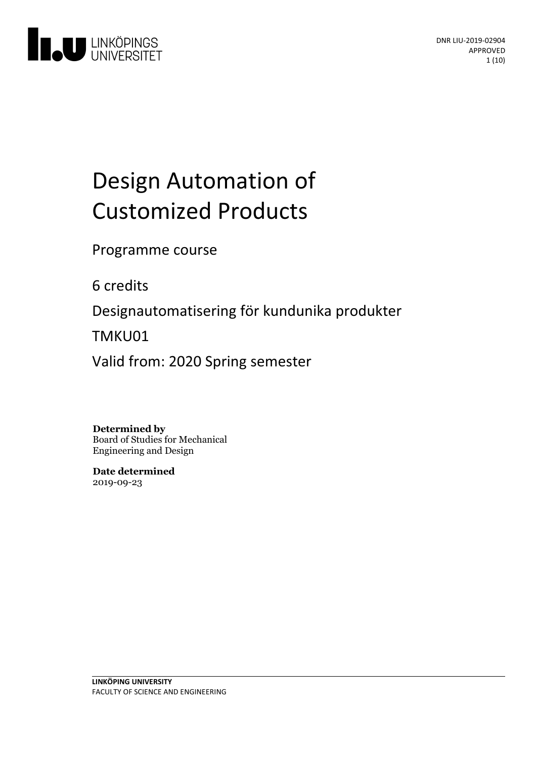

# Design Automation of Customized Products

Programme course

6 credits

Designautomatisering för kundunika produkter

TMKU01

Valid from: 2020 Spring semester

**Determined by**

Board of Studies for Mechanical Engineering and Design

**Date determined** 2019-09-23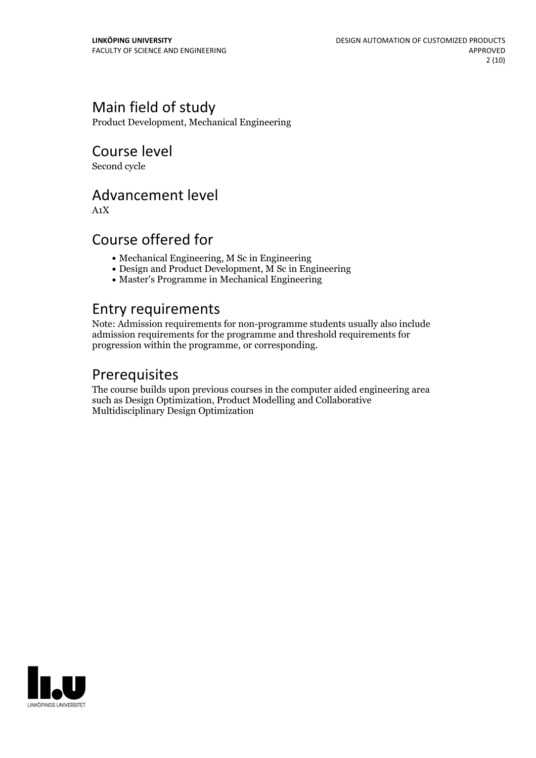### Main field of study

Product Development, Mechanical Engineering

### Course level

Second cycle

### Advancement level

A1X

### Course offered for

- Mechanical Engineering, M Sc in Engineering
- Design and Product Development, M Sc in Engineering
- Master's Programme in Mechanical Engineering

### Entry requirements

Note: Admission requirements for non-programme students usually also include admission requirements for the programme and threshold requirements for progression within the programme, or corresponding.

## Prerequisites

The course builds upon previous courses in the computer aided engineering area such as Design Optimization, Product Modelling and Collaborative Multidisciplinary Design Optimization

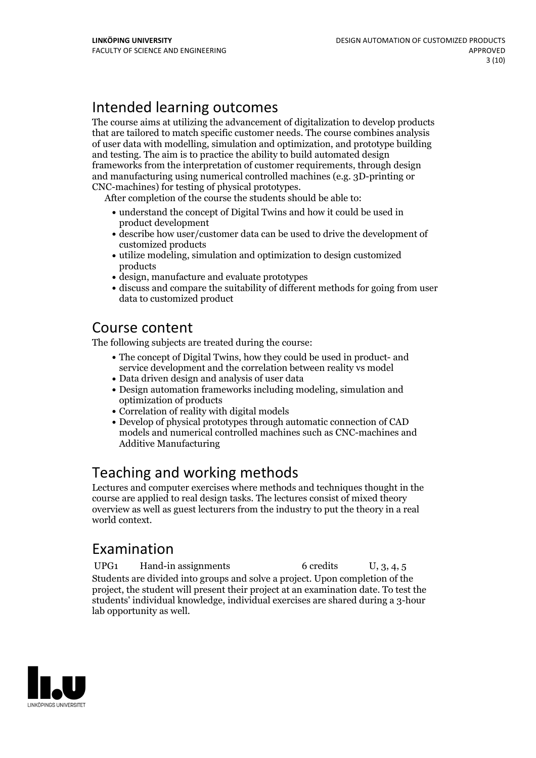# Intended learning outcomes

The course aims at utilizing the advancement of digitalization to develop products that are tailored to match specific customer needs. The course combines analysis of user data with modelling, simulation and optimization, and prototype building and testing. The aim is to practice the ability to build automated design frameworks from the interpretation of customer requirements, through design and manufacturing using numerical controlled machines (e.g. 3D-printing or

CNC-machines) for testing of physical prototypes. After completion of the course the students should be able to:

- understand the concept of Digital Twins and how it could be used in product development
- describe how user/customer data can be used to drive the development of customized products
- utilize modeling, simulation and optimization to design customized products
- design, manufacture and evaluate prototypes
- discuss and compare the suitability of different methods for going from user data to customized product

### Course content

The following subjects are treated during the course:

- The concept of Digital Twins, how they could be used in product- and service development and the correlation between reality vs model
- Data driven design and analysis of user data
- Design automation frameworks including modeling, simulation and optimization of products
- Correlation of reality with digital models
- Develop of physical prototypes through automatic connection of CAD models and numerical controlled machines such as CNC-machines and Additive Manufacturing

# Teaching and working methods

Lectures and computer exercises where methods and techniques thought in the course are applied to real design tasks. The lectures consist of mixed theory overview as well as guest lecturers from the industry to put the theory in a real world context.

# Examination

UPG1 Hand-in assignments 6 credits U, 3, 4, 5 Students are divided into groups and solve a project. Upon completion of the project, the student will present their project at an examination date. To test the students' individual knowledge, individual exercises are shared during a 3-hour lab opportunity as well.

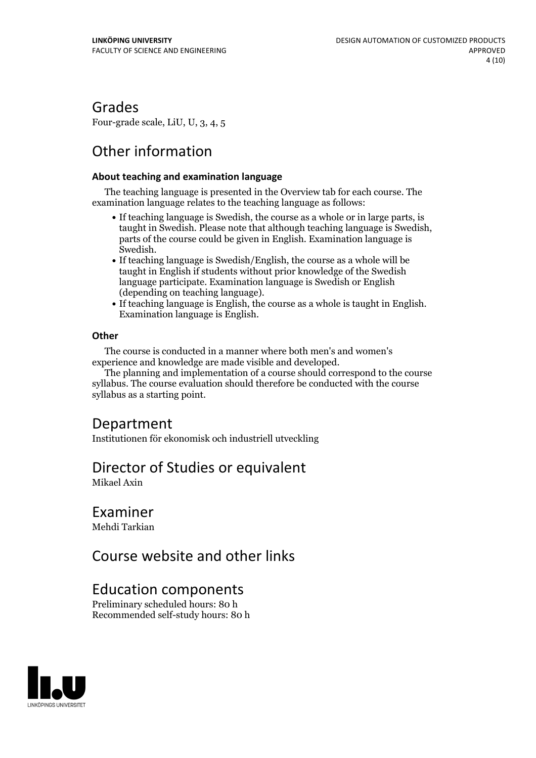### Grades

Four-grade scale, LiU, U, 3, 4, 5

# Other information

#### **About teaching and examination language**

The teaching language is presented in the Overview tab for each course. The examination language relates to the teaching language as follows:

- If teaching language is Swedish, the course as a whole or in large parts, is taught in Swedish. Please note that although teaching language is Swedish, parts of the course could be given in English. Examination language is
- Swedish.<br>• If teaching language is Swedish/English, the course as a whole will be taught in English if students without prior knowledge of the Swedish language participate. Examination language is Swedish or English
- (depending on teaching language).<br>• If teaching language is English, the course as a whole is taught in English.<br>Examination language is English.

#### **Other**

The course is conducted in a manner where both men's and women's

The planning and implementation of a course should correspond to the course syllabus. The course evaluation should therefore be conducted with the course syllabus as a starting point.

### Department

Institutionen för ekonomisk och industriell utveckling

### Director of Studies or equivalent

Mikael Axin

### Examiner

Mehdi Tarkian

### Course website and other links

### Education components

Preliminary scheduled hours: 80 h Recommended self-study hours: 80 h

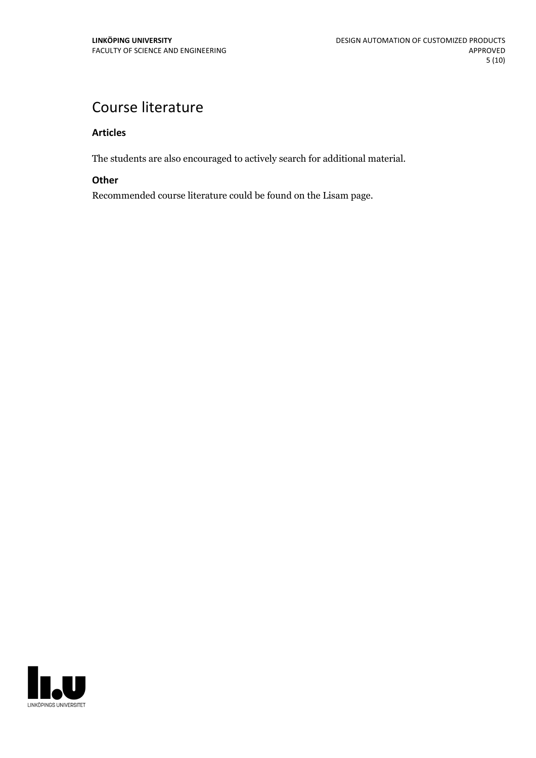# Course literature

#### **Articles**

The students are also encouraged to actively search for additional material.

#### **Other**

Recommended course literature could be found on the Lisam page.

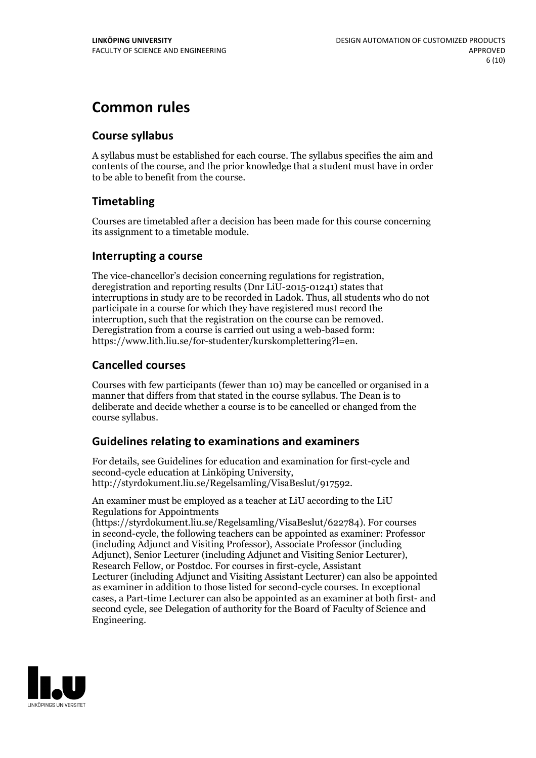# **Common rules**

### **Course syllabus**

A syllabus must be established for each course. The syllabus specifies the aim and contents of the course, and the prior knowledge that a student must have in order to be able to benefit from the course.

### **Timetabling**

Courses are timetabled after a decision has been made for this course concerning its assignment to a timetable module.

### **Interrupting a course**

The vice-chancellor's decision concerning regulations for registration, deregistration and reporting results (Dnr LiU-2015-01241) states that interruptions in study are to be recorded in Ladok. Thus, all students who do not participate in a course for which they have registered must record the interruption, such that the registration on the course can be removed. Deregistration from <sup>a</sup> course is carried outusing <sup>a</sup> web-based form: https://www.lith.liu.se/for-studenter/kurskomplettering?l=en.

### **Cancelled courses**

Courses with few participants (fewer than 10) may be cancelled or organised in a manner that differs from that stated in the course syllabus. The Dean is to deliberate and decide whether a course is to be cancelled or changed from the course syllabus.

### **Guidelines relatingto examinations and examiners**

For details, see Guidelines for education and examination for first-cycle and second-cycle education at Linköping University, http://styrdokument.liu.se/Regelsamling/VisaBeslut/917592.

An examiner must be employed as a teacher at LiU according to the LiU Regulations for Appointments

(https://styrdokument.liu.se/Regelsamling/VisaBeslut/622784). For courses in second-cycle, the following teachers can be appointed as examiner: Professor (including Adjunct and Visiting Professor), Associate Professor (including Adjunct), Senior Lecturer (including Adjunct and Visiting Senior Lecturer), Research Fellow, or Postdoc. For courses in first-cycle, Assistant Lecturer (including Adjunct and Visiting Assistant Lecturer) can also be appointed as examiner in addition to those listed for second-cycle courses. In exceptional cases, a Part-time Lecturer can also be appointed as an examiner at both first- and second cycle, see Delegation of authority for the Board of Faculty of Science and Engineering.

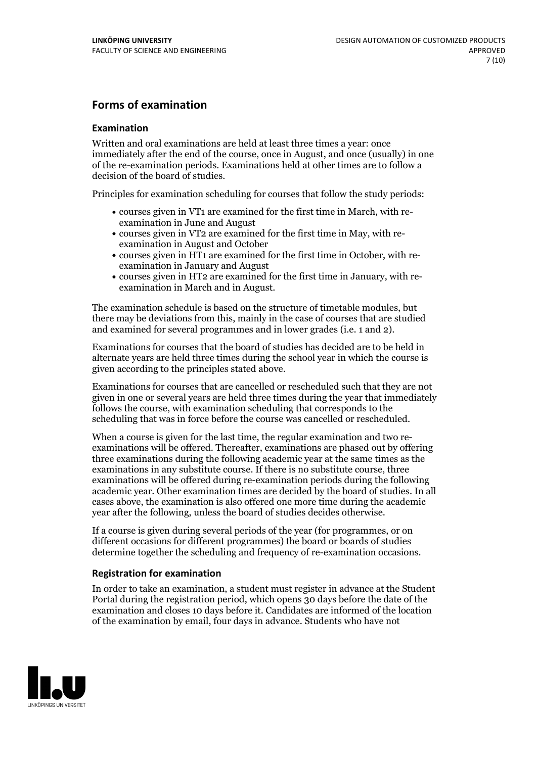### **Forms of examination**

#### **Examination**

Written and oral examinations are held at least three times a year: once immediately after the end of the course, once in August, and once (usually) in one of the re-examination periods. Examinations held at other times are to follow a decision of the board of studies.

Principles for examination scheduling for courses that follow the study periods:

- courses given in VT1 are examined for the first time in March, with re-examination in June and August
- courses given in VT2 are examined for the first time in May, with re-examination in August and October
- courses given in HT1 are examined for the first time in October, with re-examination in January and August
- courses given in HT2 are examined for the first time in January, with re-examination in March and in August.

The examination schedule is based on the structure of timetable modules, but there may be deviations from this, mainly in the case of courses that are studied and examined for several programmes and in lower grades (i.e. 1 and 2).

Examinations for courses that the board of studies has decided are to be held in alternate years are held three times during the school year in which the course is given according to the principles stated above.

Examinations for courses that are cancelled orrescheduled such that they are not given in one or several years are held three times during the year that immediately follows the course, with examination scheduling that corresponds to the scheduling that was in force before the course was cancelled or rescheduled.

When a course is given for the last time, the regular examination and two re-<br>examinations will be offered. Thereafter, examinations are phased out by offering three examinations during the following academic year at the same times as the examinations in any substitute course. If there is no substitute course, three examinations will be offered during re-examination periods during the following academic year. Other examination times are decided by the board of studies. In all cases above, the examination is also offered one more time during the academic year after the following, unless the board of studies decides otherwise.

If a course is given during several periods of the year (for programmes, or on different occasions for different programmes) the board or boards of studies determine together the scheduling and frequency of re-examination occasions.

#### **Registration for examination**

In order to take an examination, a student must register in advance at the Student Portal during the registration period, which opens 30 days before the date of the examination and closes 10 days before it. Candidates are informed of the location of the examination by email, four days in advance. Students who have not

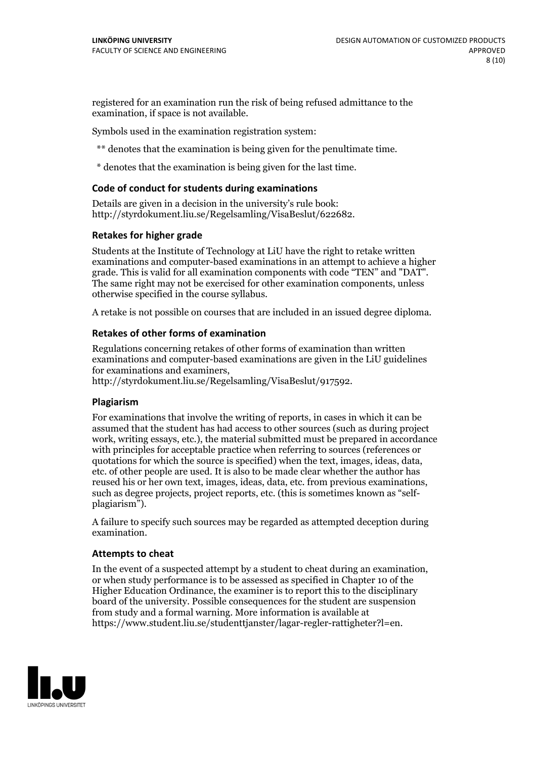registered for an examination run the risk of being refused admittance to the examination, if space is not available.

Symbols used in the examination registration system:

\*\* denotes that the examination is being given for the penultimate time.

\* denotes that the examination is being given for the last time.

#### **Code of conduct for students during examinations**

Details are given in a decision in the university's rule book: http://styrdokument.liu.se/Regelsamling/VisaBeslut/622682.

#### **Retakes for higher grade**

Students at the Institute of Technology at LiU have the right to retake written examinations and computer-based examinations in an attempt to achieve a higher grade. This is valid for all examination components with code "TEN" and "DAT". The same right may not be exercised for other examination components, unless otherwise specified in the course syllabus.

A retake is not possible on courses that are included in an issued degree diploma.

#### **Retakes of other forms of examination**

Regulations concerning retakes of other forms of examination than written examinations and computer-based examinations are given in the LiU guidelines

http://styrdokument.liu.se/Regelsamling/VisaBeslut/917592.

#### **Plagiarism**

For examinations that involve the writing of reports, in cases in which it can be assumed that the student has had access to other sources (such as during project work, writing essays, etc.), the material submitted must be prepared in accordance with principles for acceptable practice when referring to sources (references or quotations for which the source is specified) when the text, images, ideas, data,  $\vec{e}$  etc. of other people are used. It is also to be made clear whether the author has reused his or her own text, images, ideas, data, etc. from previous examinations, such as degree projects, project reports, etc. (this is sometimes known as "self- plagiarism").

A failure to specify such sources may be regarded as attempted deception during examination.

#### **Attempts to cheat**

In the event of <sup>a</sup> suspected attempt by <sup>a</sup> student to cheat during an examination, or when study performance is to be assessed as specified in Chapter <sup>10</sup> of the Higher Education Ordinance, the examiner is to report this to the disciplinary board of the university. Possible consequences for the student are suspension from study and a formal warning. More information is available at https://www.student.liu.se/studenttjanster/lagar-regler-rattigheter?l=en.

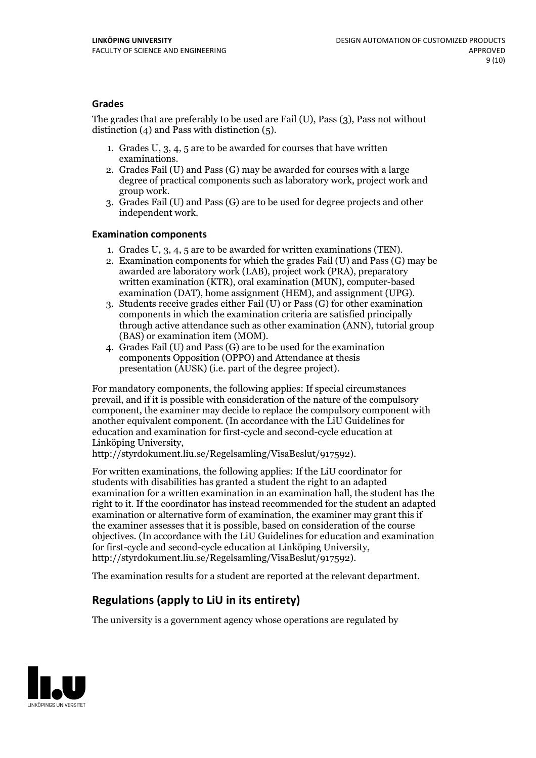#### **Grades**

The grades that are preferably to be used are Fail (U), Pass (3), Pass not without distinction  $(4)$  and Pass with distinction  $(5)$ .

- 1. Grades U, 3, 4, 5 are to be awarded for courses that have written
- examinations. 2. Grades Fail (U) and Pass (G) may be awarded for courses with <sup>a</sup> large degree of practical components such as laboratory work, project work and group work. 3. Grades Fail (U) and Pass (G) are to be used for degree projects and other
- independent work.

#### **Examination components**

- 
- 1. Grades U, 3, 4, <sup>5</sup> are to be awarded for written examinations (TEN). 2. Examination components for which the grades Fail (U) and Pass (G) may be awarded are laboratory work (LAB), project work (PRA), preparatory written examination (KTR), oral examination (MUN), computer-based
- examination (DAT), home assignment (HEM), and assignment (UPG). 3. Students receive grades either Fail (U) or Pass (G) for other examination components in which the examination criteria are satisfied principally through active attendance such as other examination (ANN), tutorial group (BAS) or examination item (MOM). 4. Grades Fail (U) and Pass (G) are to be used for the examination
- components Opposition (OPPO) and Attendance at thesis presentation (AUSK) (i.e. part of the degree project).

For mandatory components, the following applies: If special circumstances prevail, and if it is possible with consideration of the nature of the compulsory component, the examiner may decide to replace the compulsory component with another equivalent component. (In accordance with the LiU Guidelines for education and examination for first-cycle and second-cycle education at Linköping University, http://styrdokument.liu.se/Regelsamling/VisaBeslut/917592).

For written examinations, the following applies: If the LiU coordinator for students with disabilities has granted a student the right to an adapted examination for a written examination in an examination hall, the student has the right to it. If the coordinator has instead recommended for the student an adapted examination or alternative form of examination, the examiner may grant this if the examiner assesses that it is possible, based on consideration of the course objectives. (In accordance with the LiU Guidelines for education and examination for first-cycle and second-cycle education at Linköping University, http://styrdokument.liu.se/Regelsamling/VisaBeslut/917592).

The examination results for a student are reported at the relevant department.

### **Regulations (applyto LiU in its entirety)**

The university is a government agency whose operations are regulated by